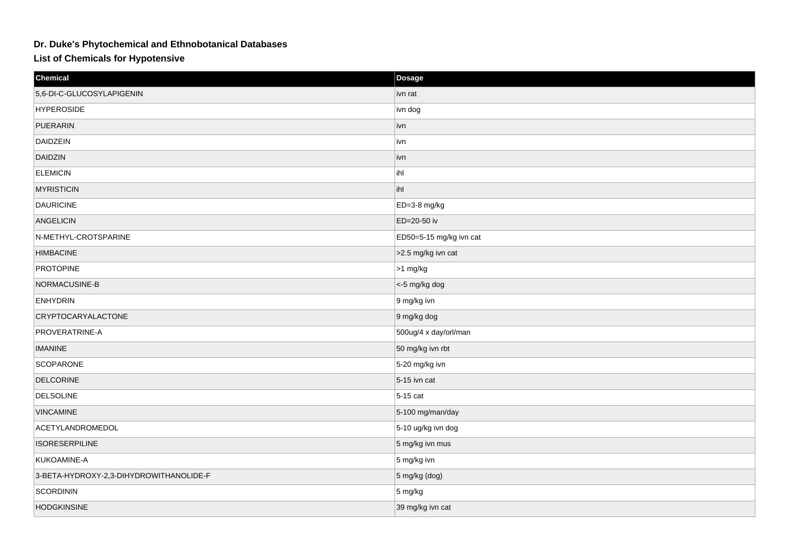## **Dr. Duke's Phytochemical and Ethnobotanical Databases**

**List of Chemicals for Hypotensive**

| Chemical                                | Dosage                  |
|-----------------------------------------|-------------------------|
| 5,6-DI-C-GLUCOSYLAPIGENIN               | ivn rat                 |
| <b>HYPEROSIDE</b>                       | ivn dog                 |
| PUERARIN                                | ivn                     |
| DAIDZEIN                                | ivn                     |
| <b>DAIDZIN</b>                          | ivn                     |
| <b>ELEMICIN</b>                         | ihl                     |
| <b>MYRISTICIN</b>                       | ihl                     |
| <b>DAURICINE</b>                        | ED=3-8 mg/kg            |
| ANGELICIN                               | ED=20-50 iv             |
| N-METHYL-CROTSPARINE                    | ED50=5-15 mg/kg ivn cat |
| <b>HIMBACINE</b>                        | >2.5 mg/kg ivn cat      |
| <b>PROTOPINE</b>                        | $ >1$ mg/kg             |
| NORMACUSINE-B                           | <-5 mg/kg dog           |
| <b>ENHYDRIN</b>                         | 9 mg/kg ivn             |
| <b>CRYPTOCARYALACTONE</b>               | 9 mg/kg dog             |
| PROVERATRINE-A                          | 500ug/4 x day/orl/man   |
| <b>IMANINE</b>                          | 50 mg/kg ivn rbt        |
| <b>SCOPARONE</b>                        | 5-20 mg/kg ivn          |
| <b>DELCORINE</b>                        | $5-15$ ivn cat          |
| <b>DELSOLINE</b>                        | $5-15$ cat              |
| <b>VINCAMINE</b>                        | $5-100$ mg/man/day      |
| ACETYLANDROMEDOL                        | 5-10 ug/kg ivn dog      |
| <b>ISORESERPILINE</b>                   | 5 mg/kg ivn mus         |
| KUKOAMINE-A                             | $5 \text{ mg/kg}$ ivn   |
| 3-BETA-HYDROXY-2,3-DIHYDROWITHANOLIDE-F | 5 mg/kg (dog)           |
| SCORDININ                               | $5 \,\mathrm{mg/kg}$    |
| <b>HODGKINSINE</b>                      | 39 mg/kg ivn cat        |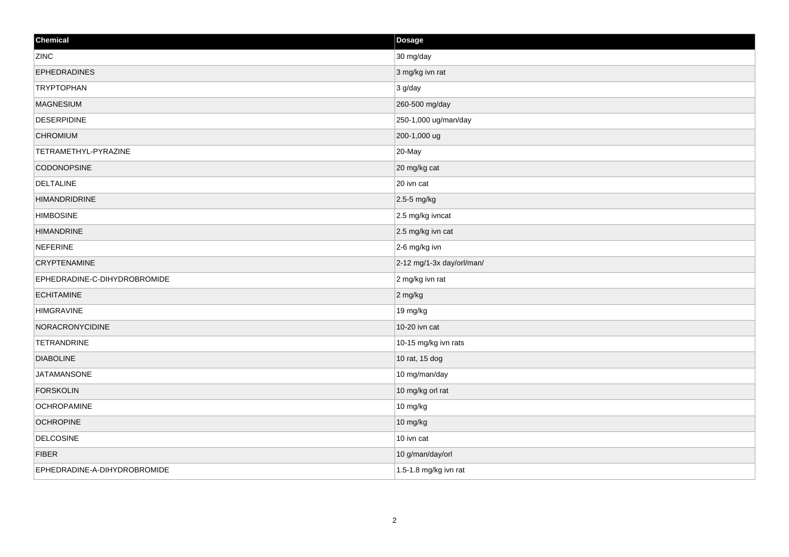| Chemical                     | Dosage                    |
|------------------------------|---------------------------|
| ZINC                         | 30 mg/day                 |
| <b>EPHEDRADINES</b>          | 3 mg/kg ivn rat           |
| <b>TRYPTOPHAN</b>            | $3$ g/day                 |
| <b>MAGNESIUM</b>             | 260-500 mg/day            |
| <b>DESERPIDINE</b>           | 250-1,000 ug/man/day      |
| <b>CHROMIUM</b>              | 200-1,000 ug              |
| TETRAMETHYL-PYRAZINE         | 20-May                    |
| <b>CODONOPSINE</b>           | 20 mg/kg cat              |
| DELTALINE                    | 20 ivn cat                |
| <b>HIMANDRIDRINE</b>         | 2.5-5 mg/kg               |
| <b>HIMBOSINE</b>             | 2.5 mg/kg ivncat          |
| <b>HIMANDRINE</b>            | 2.5 mg/kg ivn cat         |
| <b>NEFERINE</b>              | 2-6 mg/kg ivn             |
| <b>CRYPTENAMINE</b>          | 2-12 mg/1-3x day/orl/man/ |
| EPHEDRADINE-C-DIHYDROBROMIDE | 2 mg/kg ivn rat           |
| <b>ECHITAMINE</b>            | 2 mg/kg                   |
| <b>HIMGRAVINE</b>            | 19 mg/kg                  |
| NORACRONYCIDINE              | 10-20 ivn cat             |
| <b>TETRANDRINE</b>           | 10-15 mg/kg ivn rats      |
| <b>DIABOLINE</b>             | 10 rat, 15 dog            |
| <b>JATAMANSONE</b>           | 10 mg/man/day             |
| <b>FORSKOLIN</b>             | 10 mg/kg orl rat          |
| <b>OCHROPAMINE</b>           | 10 mg/kg                  |
| <b>OCHROPINE</b>             | 10 mg/kg                  |
| <b>DELCOSINE</b>             | 10 ivn cat                |
| <b>FIBER</b>                 | 10 g/man/day/orl          |
| EPHEDRADINE-A-DIHYDROBROMIDE | 1.5-1.8 mg/kg ivn rat     |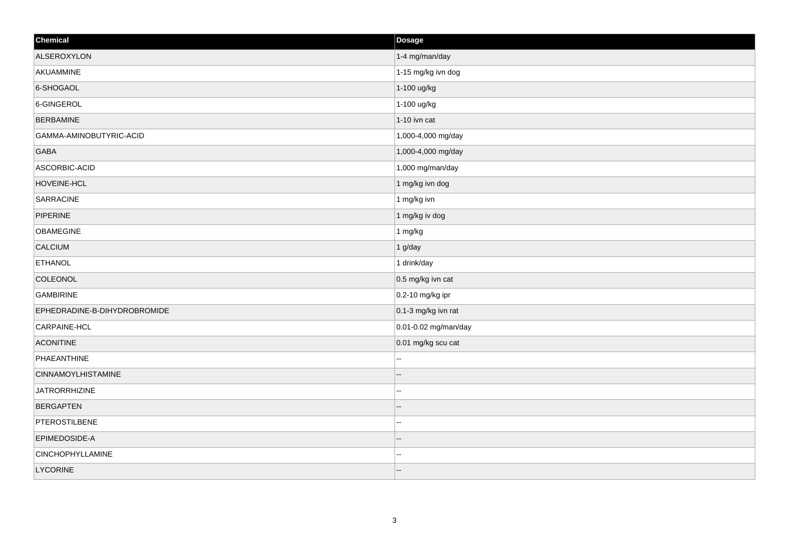| Chemical                     | Dosage               |
|------------------------------|----------------------|
| ALSEROXYLON                  | 1-4 mg/man/day       |
| AKUAMMINE                    | 1-15 mg/kg ivn dog   |
| 6-SHOGAOL                    | 1-100 ug/kg          |
| 6-GINGEROL                   | 1-100 ug/kg          |
| <b>BERBAMINE</b>             | 1-10 ivn cat         |
| GAMMA-AMINOBUTYRIC-ACID      | 1,000-4,000 mg/day   |
| <b>GABA</b>                  | 1,000-4,000 mg/day   |
| ASCORBIC-ACID                | 1,000 mg/man/day     |
| HOVEINE-HCL                  | 1 mg/kg ivn dog      |
| <b>SARRACINE</b>             | 1 mg/kg ivn          |
| PIPERINE                     | 1 mg/kg iv dog       |
| <b>OBAMEGINE</b>             | 1 mg/kg              |
| CALCIUM                      | 1 g/day              |
| <b>ETHANOL</b>               | 1 drink/day          |
| COLEONOL                     | 0.5 mg/kg ivn cat    |
| <b>GAMBIRINE</b>             | 0.2-10 mg/kg ipr     |
| EPHEDRADINE-B-DIHYDROBROMIDE | 0.1-3 mg/kg ivn rat  |
| CARPAINE-HCL                 | 0.01-0.02 mg/man/day |
| <b>ACONITINE</b>             | 0.01 mg/kg scu cat   |
| PHAEANTHINE                  |                      |
| <b>CINNAMOYLHISTAMINE</b>    |                      |
| <b>JATRORRHIZINE</b>         | ц,                   |
| <b>BERGAPTEN</b>             |                      |
| PTEROSTILBENE                | ÷.                   |
| EPIMEDOSIDE-A                |                      |
| <b>CINCHOPHYLLAMINE</b>      | --                   |
| LYCORINE                     | --                   |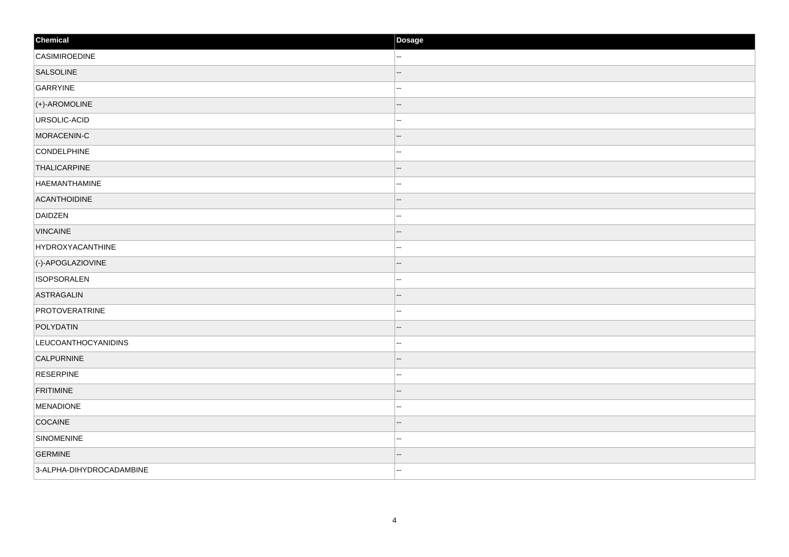| Chemical                 | Dosage |
|--------------------------|--------|
| CASIMIROEDINE            | −−     |
| SALSOLINE                |        |
| GARRYINE                 | --     |
| (+)-AROMOLINE            | --     |
| URSOLIC-ACID             |        |
| MORACENIN-C              | --     |
| CONDELPHINE              | --     |
| <b>THALICARPINE</b>      |        |
| <b>HAEMANTHAMINE</b>     | --     |
| ACANTHOIDINE             | --     |
| DAIDZEN                  | --     |
| <b>VINCAINE</b>          | --     |
| <b>HYDROXYACANTHINE</b>  | ۵.     |
| (-)-APOGLAZIOVINE        |        |
| <b>ISOPSORALEN</b>       |        |
| <b>ASTRAGALIN</b>        |        |
| PROTOVERATRINE           | --     |
| POLYDATIN                |        |
| LEUCOANTHOCYANIDINS      |        |
| CALPURNINE               |        |
| <b>RESERPINE</b>         |        |
| FRITIMINE                |        |
| MENADIONE                | --     |
| COCAINE                  |        |
| SINOMENINE               | --     |
| <b>GERMINE</b>           |        |
| 3-ALPHA-DIHYDROCADAMBINE | --     |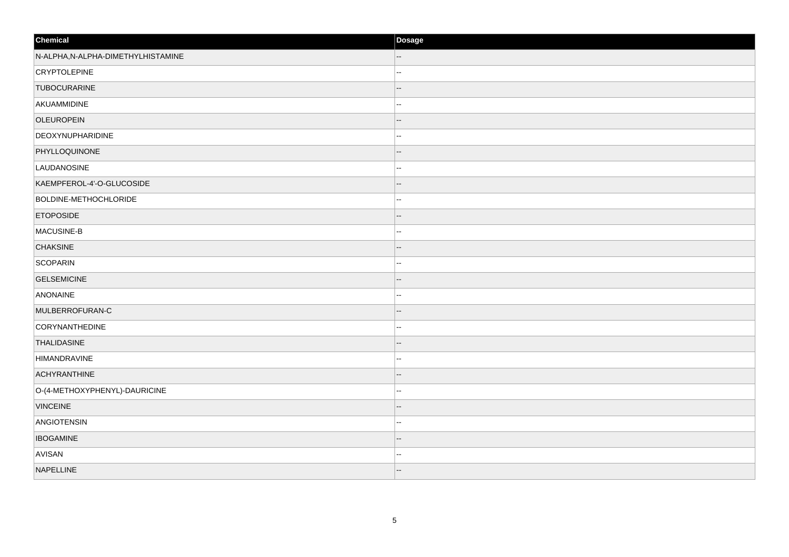| Chemical                           | Dosage |
|------------------------------------|--------|
| N-ALPHA, N-ALPHA-DIMETHYLHISTAMINE | --     |
| <b>CRYPTOLEPINE</b>                | ц,     |
| <b>TUBOCURARINE</b>                |        |
| AKUAMMIDINE                        | ц,     |
| <b>OLEUROPEIN</b>                  |        |
| DEOXYNUPHARIDINE                   | .,     |
| PHYLLOQUINONE                      | --     |
| LAUDANOSINE                        | --     |
| KAEMPFEROL-4'-O-GLUCOSIDE          | --     |
| BOLDINE-METHOCHLORIDE              | ц,     |
| <b>ETOPOSIDE</b>                   |        |
| MACUSINE-B                         | --     |
| <b>CHAKSINE</b>                    | н.     |
| SCOPARIN                           | --     |
| <b>GELSEMICINE</b>                 | --     |
| ANONAINE                           | ц,     |
| MULBERROFURAN-C                    |        |
| CORYNANTHEDINE                     | н.     |
| <b>THALIDASINE</b>                 |        |
| HIMANDRAVINE                       |        |
| <b>ACHYRANTHINE</b>                |        |
| O-(4-METHOXYPHENYL)-DAURICINE      | ц,     |
| <b>VINCEINE</b>                    |        |
| ANGIOTENSIN                        | --     |
| <b>IBOGAMINE</b>                   |        |
| AVISAN                             | --     |
| NAPELLINE                          | --     |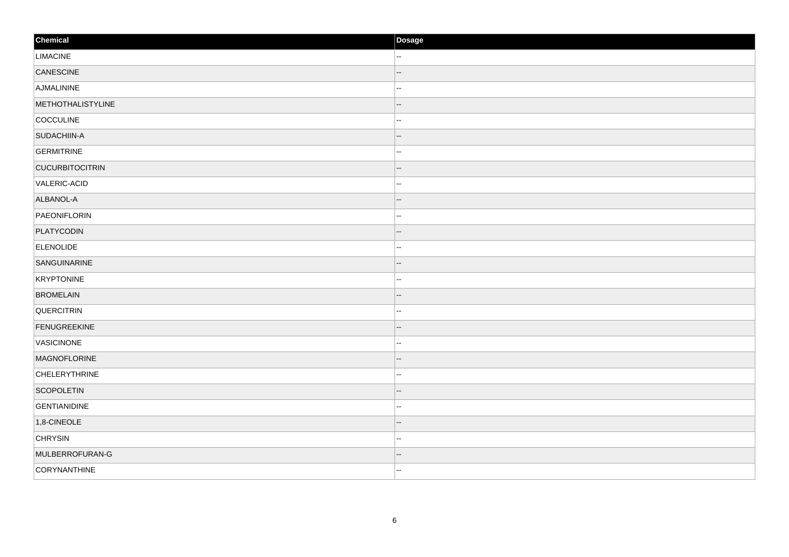| Chemical               | Dosage                   |
|------------------------|--------------------------|
| <b>LIMACINE</b>        | н.                       |
| CANESCINE              |                          |
| AJMALININE             | --                       |
| METHOTHALISTYLINE      | $\overline{\phantom{a}}$ |
| COCCULINE              | --                       |
| SUDACHIIN-A            | --                       |
| <b>GERMITRINE</b>      | щ.                       |
| <b>CUCURBITOCITRIN</b> | --                       |
| VALERIC-ACID           | --                       |
| ALBANOL-A              | --                       |
| PAEONIFLORIN           | $- -$                    |
| PLATYCODIN             | --                       |
| <b>ELENOLIDE</b>       | --                       |
| SANGUINARINE           | --                       |
| KRYPTONINE             | --                       |
| <b>BROMELAIN</b>       | --                       |
| <b>QUERCITRIN</b>      | --                       |
| FENUGREEKINE           | --                       |
| VASICINONE             | --                       |
| <b>MAGNOFLORINE</b>    | --                       |
| <b>CHELERYTHRINE</b>   | --                       |
| SCOPOLETIN             | $- -$                    |
| <b>GENTIANIDINE</b>    | --                       |
| $1,8$ -CINEOLE         | --                       |
| <b>CHRYSIN</b>         | $- -$                    |
| MULBERROFURAN-G        |                          |
| CORYNANTHINE           | ۰.                       |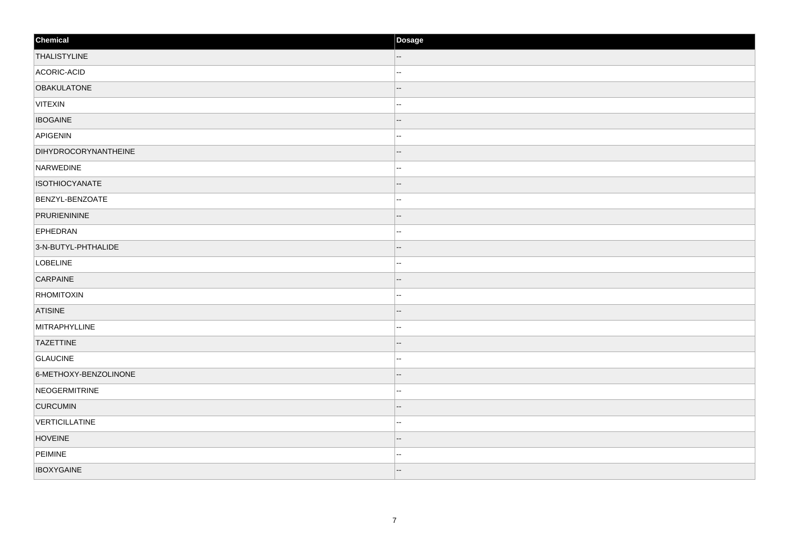| Chemical                    | Dosage                   |
|-----------------------------|--------------------------|
| <b>THALISTYLINE</b>         | $\overline{\phantom{a}}$ |
| ACORIC-ACID                 | --                       |
| <b>OBAKULATONE</b>          | --                       |
| VITEXIN                     | −−                       |
| <b>IBOGAINE</b>             |                          |
| APIGENIN                    | --                       |
| <b>DIHYDROCORYNANTHEINE</b> | --                       |
| NARWEDINE                   | --                       |
| <b>ISOTHIOCYANATE</b>       | --                       |
| BENZYL-BENZOATE             | щ.                       |
| PRURIENININE                |                          |
| EPHEDRAN                    | --                       |
| 3-N-BUTYL-PHTHALIDE         | $-$                      |
| LOBELINE                    | --                       |
| CARPAINE                    | --                       |
| <b>RHOMITOXIN</b>           | -−                       |
| <b>ATISINE</b>              |                          |
| MITRAPHYLLINE               | --                       |
| <b>TAZETTINE</b>            | $-$                      |
| <b>GLAUCINE</b>             | ۵.                       |
| 6-METHOXY-BENZOLINONE       | --                       |
| NEOGERMITRINE               | --                       |
| <b>CURCUMIN</b>             |                          |
| VERTICILLATINE              | --                       |
| <b>HOVEINE</b>              | --                       |
| PEIMINE                     | --                       |
| <b>IBOXYGAINE</b>           | $\overline{\phantom{a}}$ |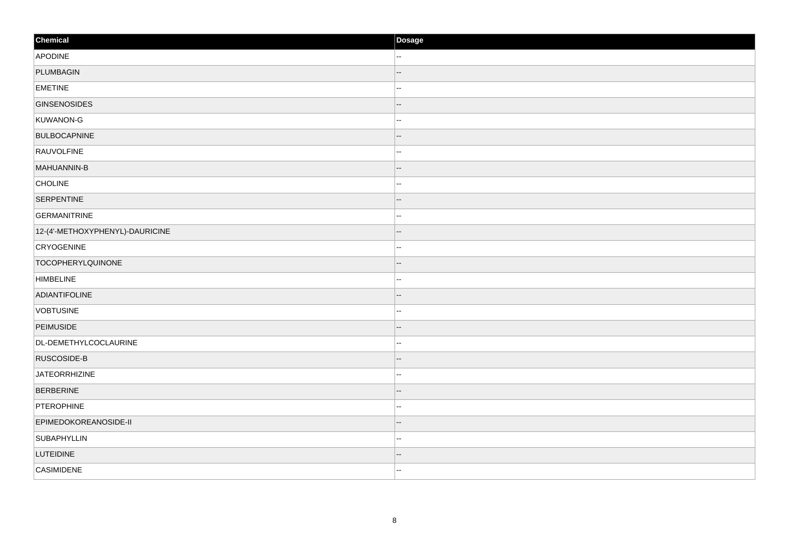| Chemical                        | Dosage |
|---------------------------------|--------|
| APODINE                         | н.     |
| PLUMBAGIN                       |        |
| <b>EMETINE</b>                  | ÷      |
| <b>GINSENOSIDES</b>             | --     |
| KUWANON-G                       |        |
| <b>BULBOCAPNINE</b>             |        |
| RAUVOLFINE                      | н.     |
| MAHUANNIN-B                     |        |
| <b>CHOLINE</b>                  |        |
| <b>SERPENTINE</b>               | --     |
| <b>GERMANITRINE</b>             | ш,     |
| 12-(4'-METHOXYPHENYL)-DAURICINE |        |
| <b>CRYOGENINE</b>               | н.     |
| <b>TOCOPHERYLQUINONE</b>        |        |
| <b>HIMBELINE</b>                | .,     |
| ADIANTIFOLINE                   | --     |
| <b>VOBTUSINE</b>                |        |
| PEIMUSIDE                       |        |
| DL-DEMETHYLCOCLAURINE           | ä,     |
| RUSCOSIDE-B                     |        |
| JATEORRHIZINE                   | н.     |
| <b>BERBERINE</b>                |        |
| PTEROPHINE                      | .,     |
| EPIMEDOKOREANOSIDE-II           | --     |
| <b>SUBAPHYLLIN</b>              | ц,     |
| LUTEIDINE                       |        |
| CASIMIDENE                      | --     |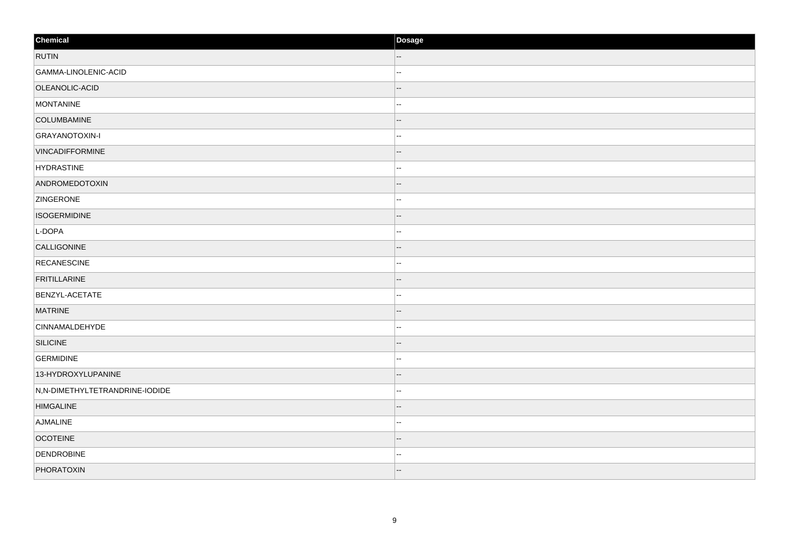| Chemical                       | Dosage                   |
|--------------------------------|--------------------------|
| <b>RUTIN</b>                   |                          |
| GAMMA-LINOLENIC-ACID           | ä,                       |
| OLEANOLIC-ACID                 | --                       |
| MONTANINE                      | ц,                       |
| COLUMBAMINE                    |                          |
| GRAYANOTOXIN-I                 | --                       |
| <b>VINCADIFFORMINE</b>         |                          |
| <b>HYDRASTINE</b>              |                          |
| ANDROMEDOTOXIN                 |                          |
| <b>ZINGERONE</b>               | ÷                        |
| <b>ISOGERMIDINE</b>            |                          |
| L-DOPA                         |                          |
| CALLIGONINE                    |                          |
| RECANESCINE                    | --                       |
| <b>FRITILLARINE</b>            |                          |
| BENZYL-ACETATE                 |                          |
| <b>MATRINE</b>                 |                          |
| <b>CINNAMALDEHYDE</b>          |                          |
| SILICINE                       |                          |
| <b>GERMIDINE</b>               | .,                       |
| 13-HYDROXYLUPANINE             |                          |
| N,N-DIMETHYLTETRANDRINE-IODIDE | ц,                       |
| <b>HIMGALINE</b>               |                          |
| AJMALINE                       | --                       |
| <b>OCOTEINE</b>                |                          |
| <b>DENDROBINE</b>              | --                       |
| PHORATOXIN                     | $\overline{\phantom{a}}$ |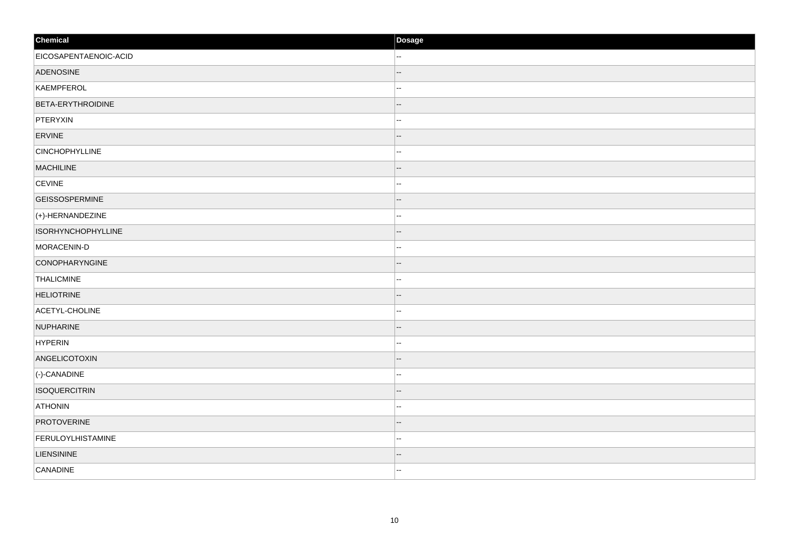| Chemical                  | Dosage |
|---------------------------|--------|
| EICOSAPENTAENOIC-ACID     | н.     |
| ADENOSINE                 |        |
| KAEMPFEROL                | --     |
| <b>BETA-ERYTHROIDINE</b>  | --     |
| PTERYXIN                  | --     |
| ERVINE                    | --     |
| <b>CINCHOPHYLLINE</b>     | Ц.     |
| <b>MACHILINE</b>          |        |
| <b>CEVINE</b>             | --     |
| <b>GEISSOSPERMINE</b>     |        |
| $(+)$ -HERNANDEZINE       |        |
| <b>ISORHYNCHOPHYLLINE</b> |        |
| MORACENIN-D               | ٠.     |
| CONOPHARYNGINE            |        |
| THALICMINE                |        |
| <b>HELIOTRINE</b>         |        |
| ACETYL-CHOLINE            | --     |
| NUPHARINE                 |        |
| HYPERIN                   | --     |
| ANGELICOTOXIN             |        |
| (-)-CANADINE              |        |
| <b>ISOQUERCITRIN</b>      | --     |
| <b>ATHONIN</b>            | ۵.     |
| <b>PROTOVERINE</b>        | --     |
| FERULOYLHISTAMINE         | --     |
| <b>LIENSININE</b>         |        |
| CANADINE                  | ۰.     |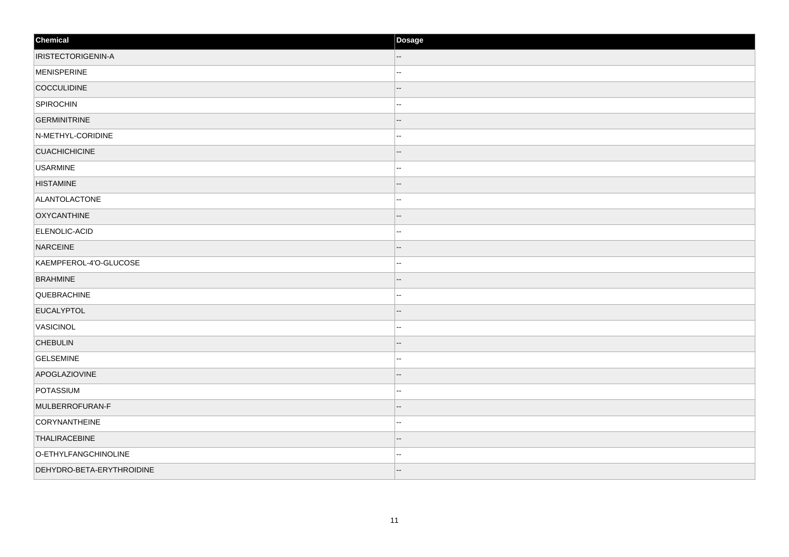| Chemical                  | Dosage |
|---------------------------|--------|
| <b>IRISTECTORIGENIN-A</b> |        |
| MENISPERINE               |        |
| COCCULIDINE               |        |
| SPIROCHIN                 |        |
| <b>GERMINITRINE</b>       |        |
| N-METHYL-CORIDINE         |        |
| <b>CUACHICHICINE</b>      |        |
| <b>USARMINE</b>           | .,     |
| <b>HISTAMINE</b>          |        |
| ALANTOLACTONE             |        |
| <b>OXYCANTHINE</b>        |        |
| ELENOLIC-ACID             |        |
| NARCEINE                  |        |
| KAEMPFEROL-4'O-GLUCOSE    | --     |
| <b>BRAHMINE</b>           |        |
| QUEBRACHINE               | н.     |
| EUCALYPTOL                |        |
| VASICINOL                 |        |
| <b>CHEBULIN</b>           |        |
| <b>GELSEMINE</b>          |        |
| APOGLAZIOVINE             |        |
| POTASSIUM                 | ц,     |
| MULBERROFURAN-F           |        |
| CORYNANTHEINE             | --     |
| <b>THALIRACEBINE</b>      |        |
| O-ETHYLFANGCHINOLINE      | --     |
| DEHYDRO-BETA-ERYTHROIDINE | --     |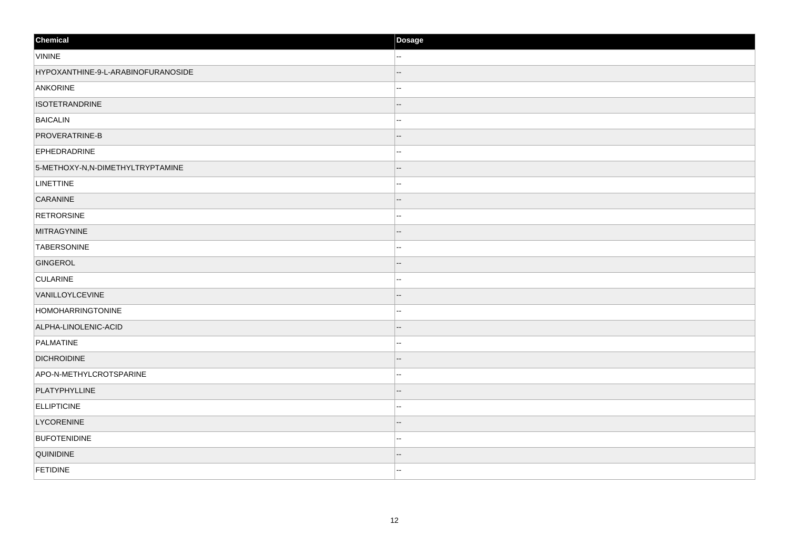| Chemical                           | Dosage   |
|------------------------------------|----------|
| <b>VININE</b>                      | н.       |
| HYPOXANTHINE-9-L-ARABINOFURANOSIDE |          |
| ANKORINE                           | ц,       |
| <b>ISOTETRANDRINE</b>              | --       |
| <b>BAICALIN</b>                    | --       |
| PROVERATRINE-B                     | --       |
| <b>EPHEDRADRINE</b>                | ż.       |
| 5-METHOXY-N,N-DIMETHYLTRYPTAMINE   |          |
| <b>LINETTINE</b>                   | .,       |
| CARANINE                           |          |
| <b>RETRORSINE</b>                  |          |
| <b>MITRAGYNINE</b>                 |          |
| <b>TABERSONINE</b>                 |          |
| GINGEROL                           |          |
| <b>CULARINE</b>                    |          |
| VANILLOYLCEVINE                    |          |
| HOMOHARRINGTONINE                  |          |
| ALPHA-LINOLENIC-ACID               |          |
| PALMATINE                          | --       |
| <b>DICHROIDINE</b>                 |          |
| APO-N-METHYLCROTSPARINE            |          |
| PLATYPHYLLINE                      |          |
| <b>ELLIPTICINE</b>                 |          |
| LYCORENINE                         |          |
| <b>BUFOTENIDINE</b>                | <b>.</b> |
| QUINIDINE                          |          |
| <b>FETIDINE</b>                    | --       |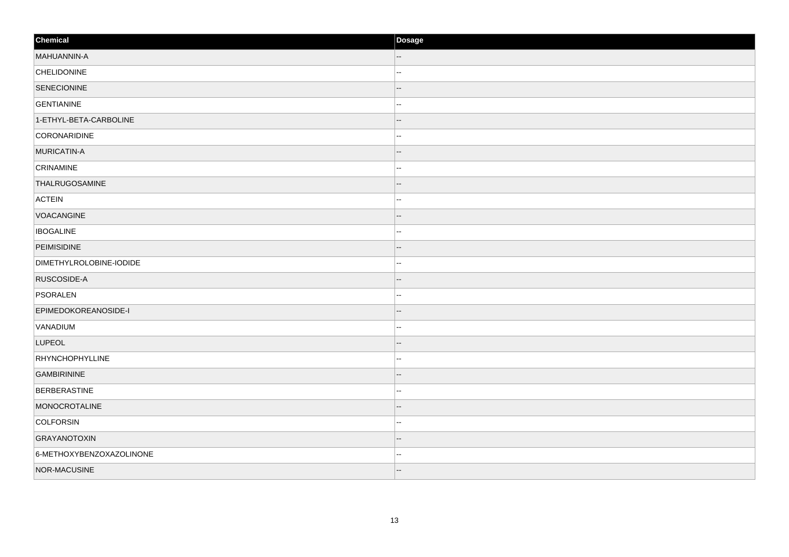| Chemical                 | Dosage |
|--------------------------|--------|
| MAHUANNIN-A              |        |
| <b>CHELIDONINE</b>       | ш,     |
| SENECIONINE              |        |
| <b>GENTIANINE</b>        |        |
| 1-ETHYL-BETA-CARBOLINE   |        |
| CORONARIDINE             |        |
| MURICATIN-A              |        |
| CRINAMINE                | .,     |
| THALRUGOSAMINE           |        |
| <b>ACTEIN</b>            |        |
| VOACANGINE               |        |
| <b>IBOGALINE</b>         |        |
| PEIMISIDINE              |        |
| DIMETHYLROLOBINE-IODIDE  | --     |
| RUSCOSIDE-A              |        |
| PSORALEN                 | н.     |
| EPIMEDOKOREANOSIDE-I     |        |
| VANADIUM                 |        |
| <b>LUPEOL</b>            |        |
| RHYNCHOPHYLLINE          | ÷      |
| <b>GAMBIRININE</b>       |        |
| <b>BERBERASTINE</b>      | ц,     |
| MONOCROTALINE            |        |
| COLFORSIN                | -−     |
| GRAYANOTOXIN             |        |
| 6-METHOXYBENZOXAZOLINONE | --     |
| NOR-MACUSINE             | --     |